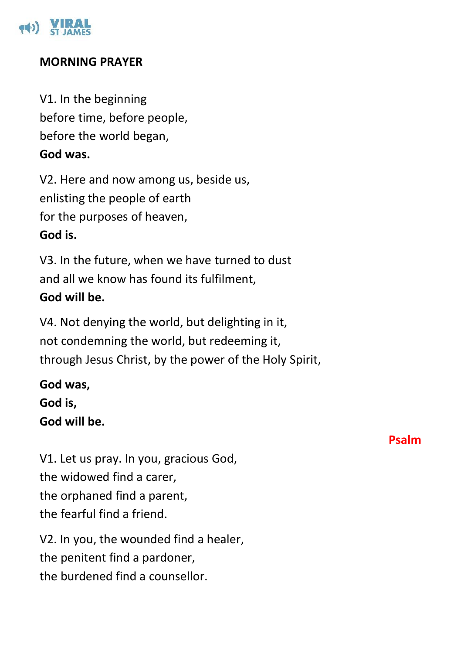

#### **MORNING PRAYER**

V1. In the beginning before time, before people, before the world began,

**God was.**

V2. Here and now among us, beside us, enlisting the people of earth for the purposes of heaven, **God is.**

V3. In the future, when we have turned to dust and all we know has found its fulfilment, **God will be.**

V4. Not denying the world, but delighting in it, not condemning the world, but redeeming it, through Jesus Christ, by the power of the Holy Spirit,

**God was, God is, God will be.**

V1. Let us pray. In you, gracious God, the widowed find a carer, the orphaned find a parent, the fearful find a friend.

V2. In you, the wounded find a healer, the penitent find a pardoner, the burdened find a counsellor.

### **Psalm**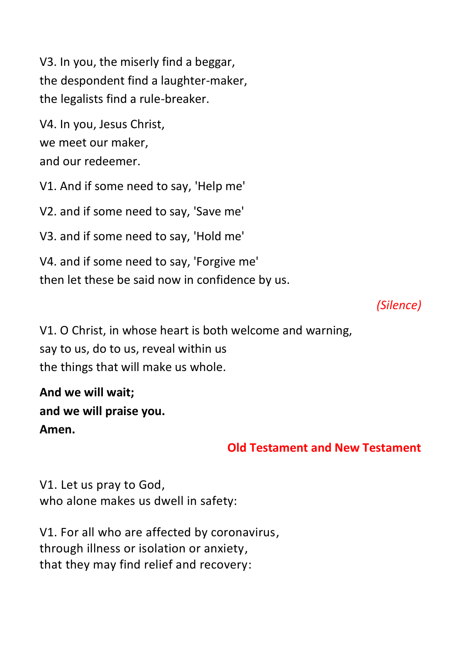V3. In you, the miserly find a beggar, the despondent find a laughter-maker, the legalists find a rule-breaker.

V4. In you, Jesus Christ, we meet our maker, and our redeemer.

V1. And if some need to say, 'Help me'

V2. and if some need to say, 'Save me'

V3. and if some need to say, 'Hold me'

V4. and if some need to say, 'Forgive me' then let these be said now in confidence by us.

# *(Silence)*

V1. O Christ, in whose heart is both welcome and warning, say to us, do to us, reveal within us the things that will make us whole.

**And we will wait; and we will praise you. Amen.**

## **Old Testament and New Testament**

V1. Let us pray to God, who alone makes us dwell in safety:

V1. For all who are affected by coronavirus, through illness or isolation or anxiety, that they may find relief and recovery: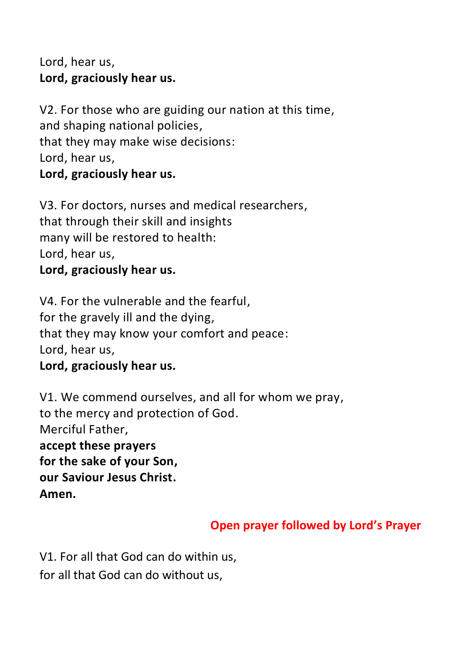Lord, hear us, **Lord, graciously hear us.**

V2. For those who are guiding our nation at this time, and shaping national policies, that they may make wise decisions: Lord, hear us, **Lord, graciously hear us.**

V3. For doctors, nurses and medical researchers, that through their skill and insights many will be restored to health: Lord, hear us,

**Lord, graciously hear us.**

V4. For the vulnerable and the fearful, for the gravely ill and the dying, that they may know your comfort and peace: Lord, hear us,

**Lord, graciously hear us.**

V1. We commend ourselves, and all for whom we pray, to the mercy and protection of God. Merciful Father, **accept these prayers for the sake of your Son, our Saviour Jesus Christ. Amen.**

# **Open prayer followed by Lord's Prayer**

V1. For all that God can do within us, for all that God can do without us,